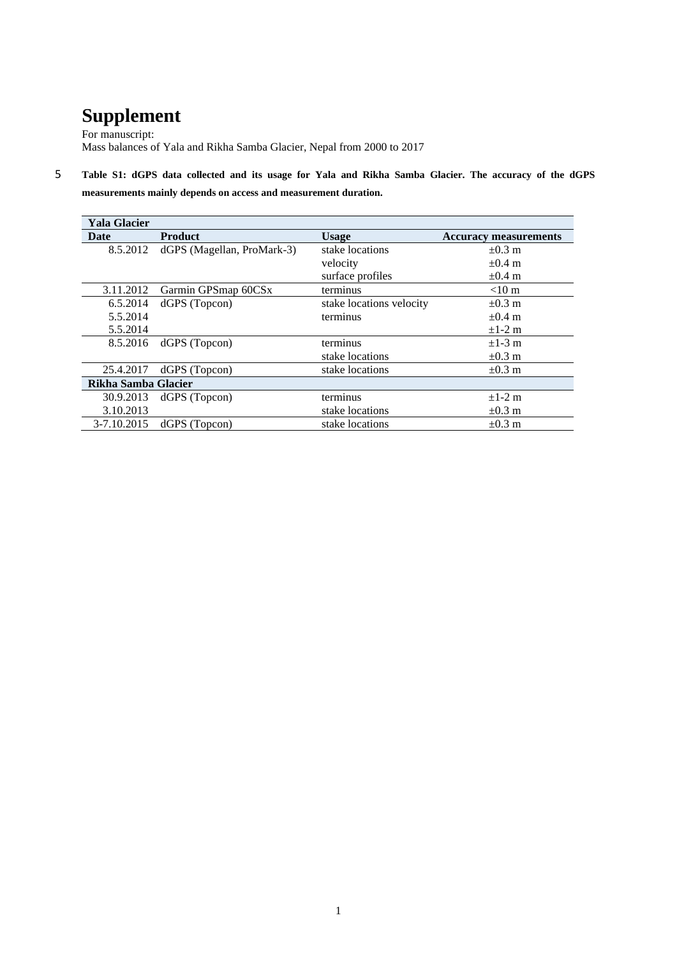## **Supplement**

For manuscript: Mass balances of Yala and Rikha Samba Glacier, Nepal from 2000 to 2017

5 **Table S1: dGPS data collected and its usage for Yala and Rikha Samba Glacier. The accuracy of the dGPS measurements mainly depends on access and measurement duration.**

| <b>Yala Glacier</b> |                            |                          |                              |  |  |  |  |
|---------------------|----------------------------|--------------------------|------------------------------|--|--|--|--|
| Date                | <b>Product</b>             | <b>Usage</b>             | <b>Accuracy measurements</b> |  |  |  |  |
| 8.5.2012            | dGPS (Magellan, ProMark-3) | stake locations          | $\pm 0.3$ m                  |  |  |  |  |
|                     |                            | velocity                 | $\pm 0.4$ m                  |  |  |  |  |
|                     |                            | surface profiles         | $\pm 0.4$ m                  |  |  |  |  |
| 3.11.2012           | Garmin GPSmap 60CSx        | terminus                 | $< 10 \text{ m}$             |  |  |  |  |
| 6.5.2014            | dGPS (Topcon)              | stake locations velocity | $\pm 0.3$ m                  |  |  |  |  |
| 5.5.2014            |                            | terminus                 | $\pm 0.4$ m                  |  |  |  |  |
| 5.5.2014            |                            |                          | $\pm 1-2$ m                  |  |  |  |  |
| 8.5.2016            | dGPS (Topcon)              | terminus                 | $\pm$ 1-3 m                  |  |  |  |  |
|                     |                            | stake locations          | $\pm 0.3$ m                  |  |  |  |  |
| 25.4.2017           | dGPS (Topcon)              | stake locations          | $\pm 0.3$ m                  |  |  |  |  |
| Rikha Samba Glacier |                            |                          |                              |  |  |  |  |
| 30.9.2013           | dGPS (Topcon)              | terminus                 | $\pm$ 1-2 m                  |  |  |  |  |
| 3.10.2013           |                            | stake locations          | $\pm 0.3$ m                  |  |  |  |  |
| 3-7.10.2015         | dGPS (Topcon)              | stake locations          | $\pm 0.3$ m                  |  |  |  |  |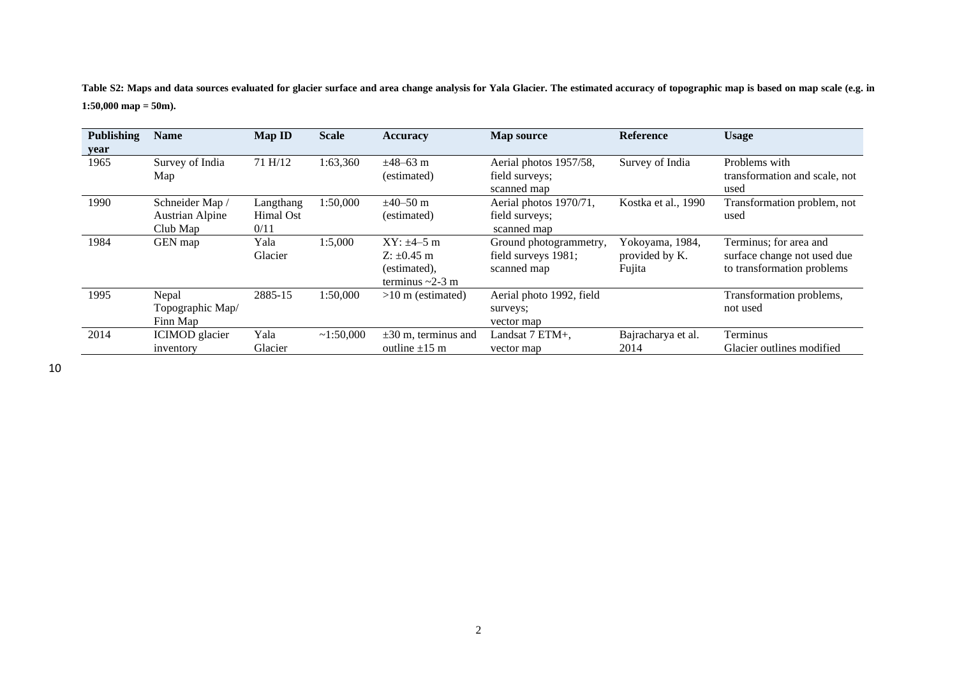**Table S2: Maps and data sources evaluated for glacier surface and area change analysis for Yala Glacier. The estimated accuracy of topographic map is based on map scale (e.g. in 1:50,000 map = 50m).**

| <b>Publishing</b> | <b>Name</b>                                           | <b>Map ID</b>                  | <b>Scale</b> | <b>Accuracy</b>                                                               | Map source                                                   | <b>Reference</b>                            | <b>Usage</b>                                                                        |
|-------------------|-------------------------------------------------------|--------------------------------|--------------|-------------------------------------------------------------------------------|--------------------------------------------------------------|---------------------------------------------|-------------------------------------------------------------------------------------|
| year              |                                                       |                                |              |                                                                               |                                                              |                                             |                                                                                     |
| 1965              | Survey of India<br>Map                                | 71 H/12                        | 1:63,360     | $\pm 48 - 63$ m<br>(estimated)                                                | Aerial photos 1957/58,<br>field surveys;<br>scanned map      | Survey of India                             | Problems with<br>transformation and scale, not<br>used                              |
| 1990              | Schneider Map /<br><b>Austrian Alpine</b><br>Club Map | Langthang<br>Himal Ost<br>0/11 | 1:50,000     | $\pm 40 - 50$ m<br>(estimated)                                                | Aerial photos 1970/71,<br>field surveys;<br>scanned map      | Kostka et al., 1990                         | Transformation problem, not<br>used                                                 |
| 1984              | GEN map                                               | Yala<br>Glacier                | 1:5,000      | $XY: \pm 4 - 5$ m<br>$Z: \pm 0.45$ m<br>(estimated),<br>terminus $\sim$ 2-3 m | Ground photogrammetry,<br>field surveys 1981;<br>scanned map | Yokoyama, 1984,<br>provided by K.<br>Fujita | Terminus; for area and<br>surface change not used due<br>to transformation problems |
| 1995              | Nepal<br>Topographic Map/<br>Finn Map                 | 2885-15                        | 1:50,000     | $>10$ m (estimated)                                                           | Aerial photo 1992, field<br>surveys;<br>vector map           |                                             | Transformation problems,<br>not used                                                |
| 2014              | ICIMOD glacier<br>inventory                           | Yala<br>Glacier                | ~1:50,000    | $\pm 30$ m, terminus and<br>outline $\pm 15$ m                                | Landsat 7 ETM+,<br>vector map                                | Bajracharya et al.<br>2014                  | Terminus<br>Glacier outlines modified                                               |

10